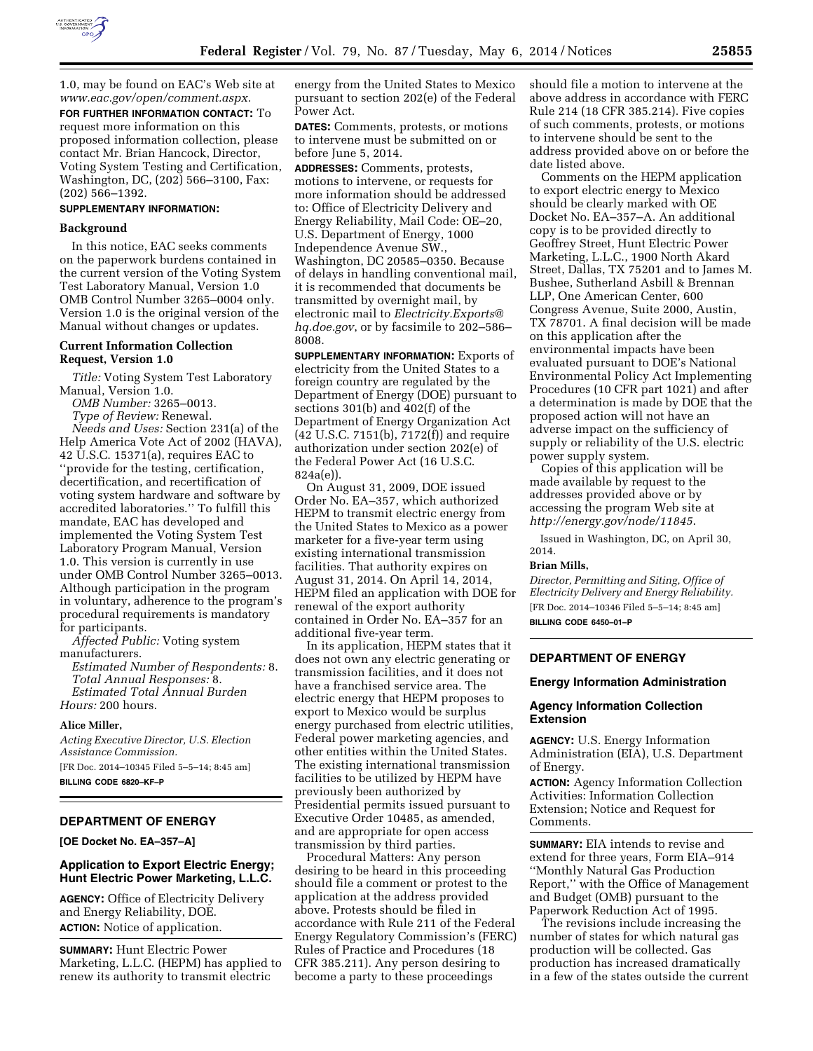

1.0, may be found on EAC's Web site at *[www.eac.gov/open/comment.aspx.](http://www.eac.gov/open/comment.aspx)* 

**FOR FURTHER INFORMATION CONTACT:** To request more information on this proposed information collection, please contact Mr. Brian Hancock, Director, Voting System Testing and Certification, Washington, DC, (202) 566–3100, Fax: (202) 566–1392.

## **SUPPLEMENTARY INFORMATION:**

#### **Background**

In this notice, EAC seeks comments on the paperwork burdens contained in the current version of the Voting System Test Laboratory Manual, Version 1.0 OMB Control Number 3265–0004 only. Version 1.0 is the original version of the Manual without changes or updates.

# **Current Information Collection Request, Version 1.0**

*Title:* Voting System Test Laboratory Manual, Version 1.0.

*OMB Number:* 3265–0013.

*Type of Review:* Renewal.

*Needs and Uses:* Section 231(a) of the Help America Vote Act of 2002 (HAVA), 42 U.S.C. 15371(a), requires EAC to ''provide for the testing, certification, decertification, and recertification of voting system hardware and software by accredited laboratories.'' To fulfill this mandate, EAC has developed and implemented the Voting System Test Laboratory Program Manual, Version 1.0. This version is currently in use under OMB Control Number 3265–0013. Although participation in the program in voluntary, adherence to the program's procedural requirements is mandatory for participants.

*Affected Public:* Voting system manufacturers.

*Estimated Number of Respondents:* 8. *Total Annual Responses:* 8. *Estimated Total Annual Burden Hours:* 200 hours.

#### **Alice Miller,**

*Acting Executive Director, U.S. Election Assistance Commission.* 

[FR Doc. 2014–10345 Filed 5–5–14; 8:45 am] **BILLING CODE 6820–KF–P** 

# **DEPARTMENT OF ENERGY**

**[OE Docket No. EA–357–A]** 

# **Application to Export Electric Energy; Hunt Electric Power Marketing, L.L.C.**

**AGENCY:** Office of Electricity Delivery and Energy Reliability, DOE. **ACTION:** Notice of application.

**SUMMARY:** Hunt Electric Power Marketing, L.L.C. (HEPM) has applied to renew its authority to transmit electric

energy from the United States to Mexico pursuant to section 202(e) of the Federal Power Act.

**DATES:** Comments, protests, or motions to intervene must be submitted on or before June 5, 2014.

**ADDRESSES:** Comments, protests, motions to intervene, or requests for more information should be addressed to: Office of Electricity Delivery and Energy Reliability, Mail Code: OE–20, U.S. Department of Energy, 1000 Independence Avenue SW., Washington, DC 20585–0350. Because of delays in handling conventional mail, it is recommended that documents be transmitted by overnight mail, by electronic mail to *[Electricity.Exports@](mailto:Electricity.Exports@hq.doe.gov) [hq.doe.gov](mailto:Electricity.Exports@hq.doe.gov)*, or by facsimile to 202–586– 8008.

**SUPPLEMENTARY INFORMATION:** Exports of electricity from the United States to a foreign country are regulated by the Department of Energy (DOE) pursuant to sections 301(b) and 402(f) of the Department of Energy Organization Act (42 U.S.C. 7151(b), 7172(f)) and require authorization under section 202(e) of the Federal Power Act (16 U.S.C. 824a(e)).

On August 31, 2009, DOE issued Order No. EA–357, which authorized HEPM to transmit electric energy from the United States to Mexico as a power marketer for a five-year term using existing international transmission facilities. That authority expires on August 31, 2014. On April 14, 2014, HEPM filed an application with DOE for renewal of the export authority contained in Order No. EA–357 for an additional five-year term.

In its application, HEPM states that it does not own any electric generating or transmission facilities, and it does not have a franchised service area. The electric energy that HEPM proposes to export to Mexico would be surplus energy purchased from electric utilities, Federal power marketing agencies, and other entities within the United States. The existing international transmission facilities to be utilized by HEPM have previously been authorized by Presidential permits issued pursuant to Executive Order 10485, as amended, and are appropriate for open access transmission by third parties.

Procedural Matters: Any person desiring to be heard in this proceeding should file a comment or protest to the application at the address provided above. Protests should be filed in accordance with Rule 211 of the Federal Energy Regulatory Commission's (FERC) Rules of Practice and Procedures (18 CFR 385.211). Any person desiring to become a party to these proceedings

should file a motion to intervene at the above address in accordance with FERC Rule 214 (18 CFR 385.214). Five copies of such comments, protests, or motions to intervene should be sent to the address provided above on or before the date listed above.

Comments on the HEPM application to export electric energy to Mexico should be clearly marked with OE Docket No. EA–357–A. An additional copy is to be provided directly to Geoffrey Street, Hunt Electric Power Marketing, L.L.C., 1900 North Akard Street, Dallas, TX 75201 and to James M. Bushee, Sutherland Asbill & Brennan LLP, One American Center, 600 Congress Avenue, Suite 2000, Austin, TX 78701. A final decision will be made on this application after the environmental impacts have been evaluated pursuant to DOE's National Environmental Policy Act Implementing Procedures (10 CFR part 1021) and after a determination is made by DOE that the proposed action will not have an adverse impact on the sufficiency of supply or reliability of the U.S. electric power supply system.

Copies of this application will be made available by request to the addresses provided above or by accessing the program Web site at *<http://energy.gov/node/11845>*.

Issued in Washington, DC, on April 30, 2014.

#### **Brian Mills,**

*Director, Permitting and Siting, Office of Electricity Delivery and Energy Reliability.*  [FR Doc. 2014–10346 Filed 5–5–14; 8:45 am] **BILLING CODE 6450–01–P** 

# **DEPARTMENT OF ENERGY**

## **Energy Information Administration**

## **Agency Information Collection Extension**

**AGENCY:** U.S. Energy Information Administration (EIA), U.S. Department of Energy.

**ACTION:** Agency Information Collection Activities: Information Collection Extension; Notice and Request for Comments.

**SUMMARY:** EIA intends to revise and extend for three years, Form EIA–914 ''Monthly Natural Gas Production Report,'' with the Office of Management and Budget (OMB) pursuant to the Paperwork Reduction Act of 1995.

The revisions include increasing the number of states for which natural gas production will be collected. Gas production has increased dramatically in a few of the states outside the current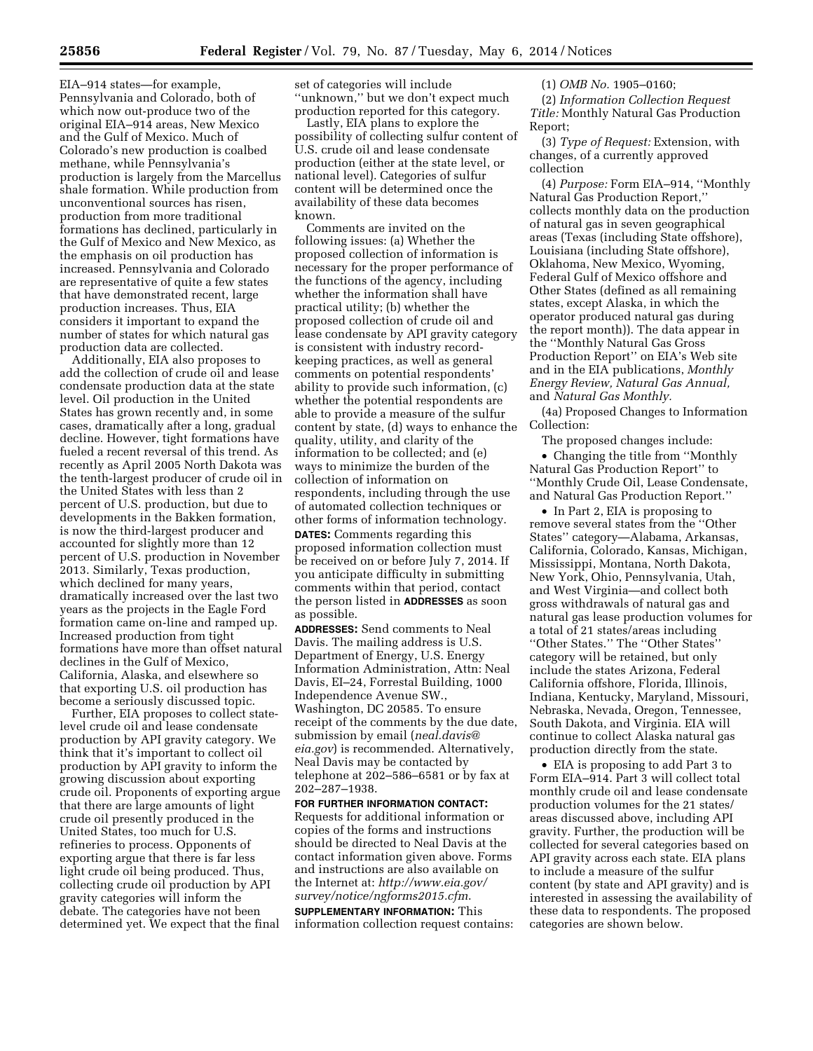EIA–914 states—for example, Pennsylvania and Colorado, both of which now out-produce two of the original EIA–914 areas, New Mexico and the Gulf of Mexico. Much of Colorado's new production is coalbed methane, while Pennsylvania's production is largely from the Marcellus shale formation. While production from unconventional sources has risen, production from more traditional formations has declined, particularly in the Gulf of Mexico and New Mexico, as the emphasis on oil production has increased. Pennsylvania and Colorado are representative of quite a few states that have demonstrated recent, large production increases. Thus, EIA considers it important to expand the number of states for which natural gas production data are collected.

Additionally, EIA also proposes to add the collection of crude oil and lease condensate production data at the state level. Oil production in the United States has grown recently and, in some cases, dramatically after a long, gradual decline. However, tight formations have fueled a recent reversal of this trend. As recently as April 2005 North Dakota was the tenth-largest producer of crude oil in the United States with less than 2 percent of U.S. production, but due to developments in the Bakken formation, is now the third-largest producer and accounted for slightly more than 12 percent of U.S. production in November 2013. Similarly, Texas production, which declined for many years, dramatically increased over the last two years as the projects in the Eagle Ford formation came on-line and ramped up. Increased production from tight formations have more than offset natural declines in the Gulf of Mexico, California, Alaska, and elsewhere so that exporting U.S. oil production has become a seriously discussed topic.

Further, EIA proposes to collect statelevel crude oil and lease condensate production by API gravity category. We think that it's important to collect oil production by API gravity to inform the growing discussion about exporting crude oil. Proponents of exporting argue that there are large amounts of light crude oil presently produced in the United States, too much for U.S. refineries to process. Opponents of exporting argue that there is far less light crude oil being produced. Thus, collecting crude oil production by API gravity categories will inform the debate. The categories have not been determined yet. We expect that the final

set of categories will include ''unknown,'' but we don't expect much production reported for this category.

Lastly, EIA plans to explore the possibility of collecting sulfur content of U.S. crude oil and lease condensate production (either at the state level, or national level). Categories of sulfur content will be determined once the availability of these data becomes known.

Comments are invited on the following issues: (a) Whether the proposed collection of information is necessary for the proper performance of the functions of the agency, including whether the information shall have practical utility; (b) whether the proposed collection of crude oil and lease condensate by API gravity category is consistent with industry recordkeeping practices, as well as general comments on potential respondents' ability to provide such information, (c) whether the potential respondents are able to provide a measure of the sulfur content by state, (d) ways to enhance the quality, utility, and clarity of the information to be collected; and (e) ways to minimize the burden of the collection of information on respondents, including through the use of automated collection techniques or other forms of information technology.

**DATES:** Comments regarding this proposed information collection must be received on or before July 7, 2014. If you anticipate difficulty in submitting comments within that period, contact the person listed in **ADDRESSES** as soon as possible.

**ADDRESSES:** Send comments to Neal Davis. The mailing address is U.S. Department of Energy, U.S. Energy Information Administration, Attn: Neal Davis, EI–24, Forrestal Building, 1000 Independence Avenue SW., Washington, DC 20585. To ensure receipt of the comments by the due date, submission by email (*[neal.davis@](mailto:neal.davis@eia.gov) [eia.gov](mailto:neal.davis@eia.gov)*) is recommended. Alternatively, Neal Davis may be contacted by telephone at 202–586–6581 or by fax at 202–287–1938.

**FOR FURTHER INFORMATION CONTACT:**  Requests for additional information or copies of the forms and instructions should be directed to Neal Davis at the contact information given above. Forms and instructions are also available on the Internet at: *[http://www.eia.gov/](http://www.eia.gov/survey/notice/ngforms2015.cfm) [survey/notice/ngforms2015.cfm](http://www.eia.gov/survey/notice/ngforms2015.cfm)*. **SUPPLEMENTARY INFORMATION:** This information collection request contains: (1) *OMB No.* 1905–0160;

(2) *Information Collection Request Title:* Monthly Natural Gas Production Report;

(3) *Type of Request:* Extension, with changes, of a currently approved collection

(4) *Purpose:* Form EIA–914, ''Monthly Natural Gas Production Report,'' collects monthly data on the production of natural gas in seven geographical areas (Texas (including State offshore), Louisiana (including State offshore), Oklahoma, New Mexico, Wyoming, Federal Gulf of Mexico offshore and Other States (defined as all remaining states, except Alaska, in which the operator produced natural gas during the report month)). The data appear in the ''Monthly Natural Gas Gross Production Report'' on EIA's Web site and in the EIA publications, *Monthly Energy Review, Natural Gas Annual,*  and *Natural Gas Monthly.* 

(4a) Proposed Changes to Information Collection:

The proposed changes include:

• Changing the title from ''Monthly Natural Gas Production Report'' to ''Monthly Crude Oil, Lease Condensate, and Natural Gas Production Report.''

• In Part 2, EIA is proposing to remove several states from the ''Other States'' category—Alabama, Arkansas, California, Colorado, Kansas, Michigan, Mississippi, Montana, North Dakota, New York, Ohio, Pennsylvania, Utah, and West Virginia—and collect both gross withdrawals of natural gas and natural gas lease production volumes for a total of 21 states/areas including ''Other States.'' The ''Other States'' category will be retained, but only include the states Arizona, Federal California offshore, Florida, Illinois, Indiana, Kentucky, Maryland, Missouri, Nebraska, Nevada, Oregon, Tennessee, South Dakota, and Virginia. EIA will continue to collect Alaska natural gas production directly from the state.

• EIA is proposing to add Part 3 to Form EIA–914. Part 3 will collect total monthly crude oil and lease condensate production volumes for the 21 states/ areas discussed above, including API gravity. Further, the production will be collected for several categories based on API gravity across each state. EIA plans to include a measure of the sulfur content (by state and API gravity) and is interested in assessing the availability of these data to respondents. The proposed categories are shown below.